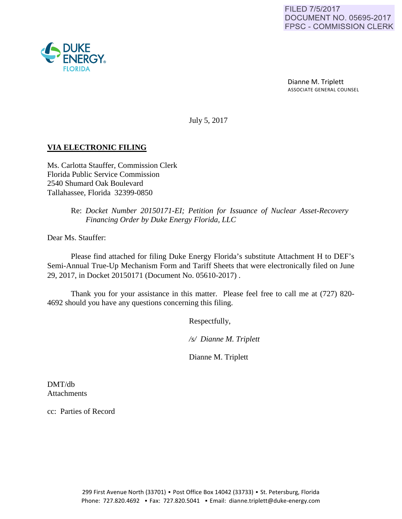Dianne M. Triplett ASSOCIATE GENERAL COUNSEL

July 5, 2017

## **VIA ELECTRONIC FILING**

Ms. Carlotta Stauffer, Commission Clerk Florida Public Service Commission 2540 Shumard Oak Boulevard Tallahassee, Florida 32399-0850

> Re: *Docket Number 20150171-EI; Petition for Issuance of Nuclear Asset-Recovery Financing Order by Duke Energy Florida, LLC*

Dear Ms. Stauffer:

Please find attached for filing Duke Energy Florida's substitute Attachment H to DEF's Semi-Annual True-Up Mechanism Form and Tariff Sheets that were electronically filed on June 29, 2017, in Docket 20150171 (Document No. 05610-2017) .

Thank you for your assistance in this matter. Please feel free to call me at (727) 820- 4692 should you have any questions concerning this filing.

Respectfully,

 */s/ Dianne M. Triplett*

Dianne M. Triplett

DMT/db Attachments

cc: Parties of Record

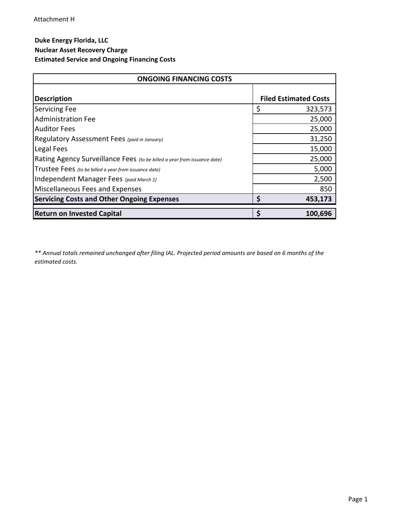## **Duke Energy Florida, LLC Nuclear Asset Recovery Charge**

## **Estimated Service and Ongoing Financing Costs**

| <b>ONGOING FINANCING COSTS</b>                                           |                              |  |
|--------------------------------------------------------------------------|------------------------------|--|
| <b>Description</b>                                                       | <b>Filed Estimated Costs</b> |  |
| <b>Servicing Fee</b>                                                     | \$<br>323,573                |  |
| <b>Administration Fee</b>                                                | 25,000                       |  |
| <b>Auditor Fees</b>                                                      | 25,000                       |  |
| Regulatory Assessment Fees (paid in January)                             | 31,250                       |  |
| Legal Fees                                                               | 15,000                       |  |
| Rating Agency Surveillance Fees (to be billed a year from issuance date) | 25,000                       |  |
| Trustee Fees (to be billed a year from issuance date)                    | 5,000                        |  |
| Independent Manager Fees (paid March 1)                                  | 2,500                        |  |
| Miscellaneous Fees and Expenses                                          | 850                          |  |
| <b>Servicing Costs and Other Ongoing Expenses</b>                        | Ś<br>453,173                 |  |
| <b>Return on Invested Capital</b>                                        | \$<br>100,696                |  |

*\*\* Annual totals remained unchanged after filing IAL. Projected period amounts are based on 6 months of the estimated costs.*